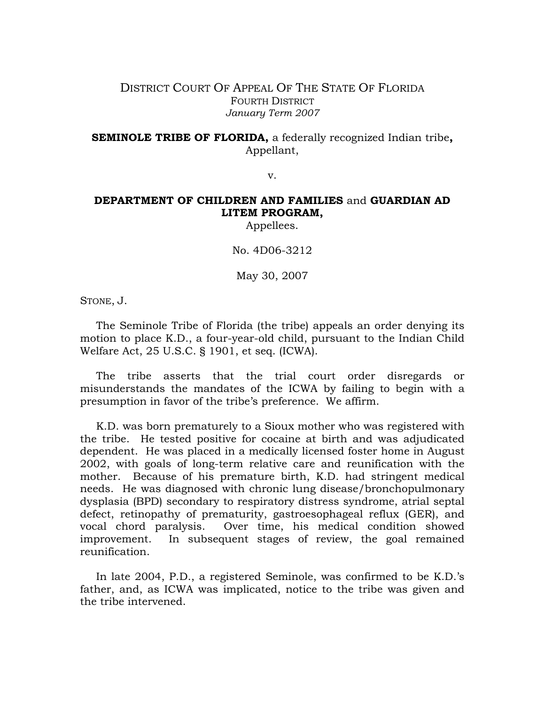## DISTRICT COURT OF APPEAL OF THE STATE OF FLORIDA FOURTH DISTRICT *January Term 2007*

**SEMINOLE TRIBE OF FLORIDA,** a federally recognized Indian tribe**,**  Appellant,

v.

## **DEPARTMENT OF CHILDREN AND FAMILIES** and **GUARDIAN AD LITEM PROGRAM,**

Appellees.

No. 4D06-3212

May 30, 2007

STONE, J.

 The Seminole Tribe of Florida (the tribe) appeals an order denying its motion to place K.D., a four-year-old child, pursuant to the Indian Child Welfare Act, 25 U.S.C. § 1901, et seq. (ICWA).

 The tribe asserts that the trial court order disregards or misunderstands the mandates of the ICWA by failing to begin with a presumption in favor of the tribe's preference. We affirm.

 K.D. was born prematurely to a Sioux mother who was registered with the tribe. He tested positive for cocaine at birth and was adjudicated dependent. He was placed in a medically licensed foster home in August 2002, with goals of long-term relative care and reunification with the mother. Because of his premature birth, K.D. had stringent medical needs. He was diagnosed with chronic lung disease/bronchopulmonary dysplasia (BPD) secondary to respiratory distress syndrome, atrial septal defect, retinopathy of prematurity, gastroesophageal reflux (GER), and vocal chord paralysis. Over time, his medical condition showed improvement. In subsequent stages of review, the goal remained reunification.

 In late 2004, P.D., a registered Seminole, was confirmed to be K.D.'s father, and, as ICWA was implicated, notice to the tribe was given and the tribe intervened.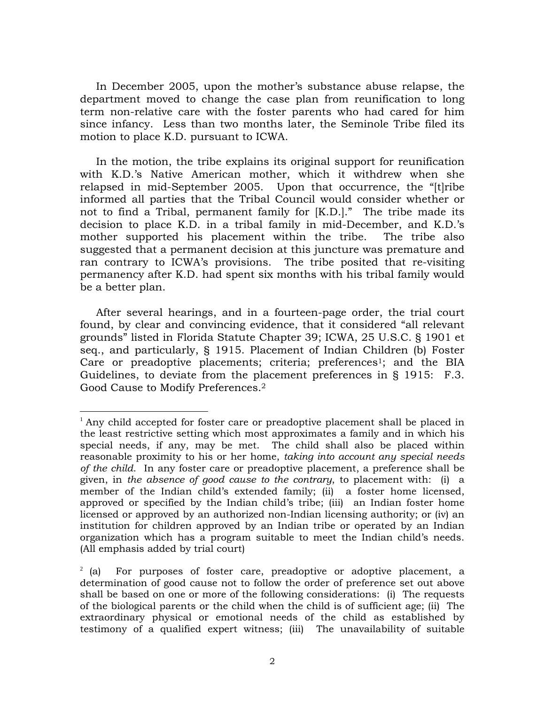In December 2005, upon the mother's substance abuse relapse, the department moved to change the case plan from reunification to long term non-relative care with the foster parents who had cared for him since infancy. Less than two months later, the Seminole Tribe filed its motion to place K.D. pursuant to ICWA.

In the motion, the tribe explains its original support for reunification with K.D.'s Native American mother, which it withdrew when she relapsed in mid-September 2005. Upon that occurrence, the "[t]ribe informed all parties that the Tribal Council would consider whether or not to find a Tribal, permanent family for [K.D.]." The tribe made its decision to place K.D. in a tribal family in mid-December, and K.D.'s mother supported his placement within the tribe. The tribe also suggested that a permanent decision at this juncture was premature and ran contrary to ICWA's provisions. The tribe posited that re-visiting permanency after K.D. had spent six months with his tribal family would be a better plan.

After several hearings, and in a fourteen-page order, the trial court found, by clear and convincing evidence, that it considered "all relevant grounds" listed in Florida Statute Chapter 39; ICWA, 25 U.S.C. § 1901 et seq., and particularly, § 1915. Placement of Indian Children (b) Foster Care or preadoptive placements; criteria; preferences<sup>1</sup>; and the BIA Guidelines, to deviate from the placement preferences in § 1915: F.3. Good Cause to Modify Preferences.2

 $\overline{a}$ 

 $1$  Any child accepted for foster care or preadoptive placement shall be placed in the least restrictive setting which most approximates a family and in which his special needs, if any, may be met. The child shall also be placed within reasonable proximity to his or her home, *taking into account any special needs of the child*. In any foster care or preadoptive placement, a preference shall be given, in *the absence of good cause to the contrary*, to placement with: (i) a member of the Indian child's extended family; (ii) a foster home licensed, approved or specified by the Indian child's tribe; (iii) an Indian foster home licensed or approved by an authorized non-Indian licensing authority; or (iv) an institution for children approved by an Indian tribe or operated by an Indian organization which has a program suitable to meet the Indian child's needs. (All emphasis added by trial court)

 $2$  (a) For purposes of foster care, preadoptive or adoptive placement, a determination of good cause not to follow the order of preference set out above shall be based on one or more of the following considerations: (i) The requests of the biological parents or the child when the child is of sufficient age; (ii) The extraordinary physical or emotional needs of the child as established by testimony of a qualified expert witness; (iii) The unavailability of suitable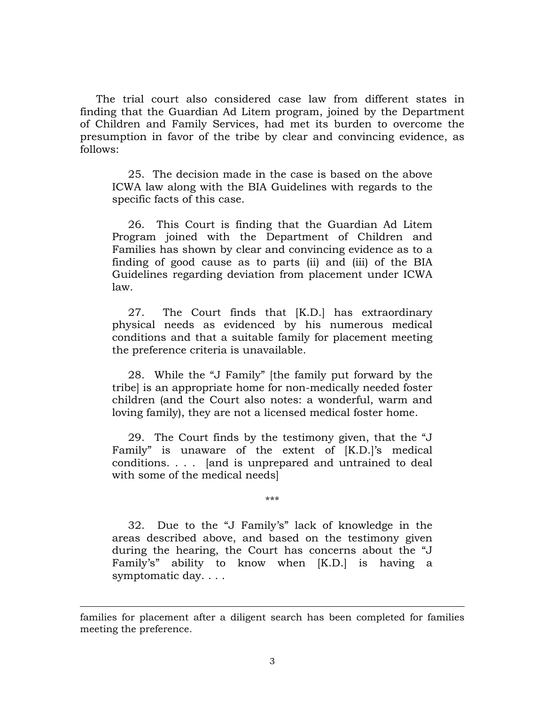The trial court also considered case law from different states in finding that the Guardian Ad Litem program, joined by the Department of Children and Family Services, had met its burden to overcome the presumption in favor of the tribe by clear and convincing evidence, as follows:

25. The decision made in the case is based on the above ICWA law along with the BIA Guidelines with regards to the specific facts of this case.

26. This Court is finding that the Guardian Ad Litem Program joined with the Department of Children and Families has shown by clear and convincing evidence as to a finding of good cause as to parts (ii) and (iii) of the BIA Guidelines regarding deviation from placement under ICWA law.

27. The Court finds that [K.D.] has extraordinary physical needs as evidenced by his numerous medical conditions and that a suitable family for placement meeting the preference criteria is unavailable.

28. While the "J Family" [the family put forward by the tribe] is an appropriate home for non-medically needed foster children (and the Court also notes: a wonderful, warm and loving family), they are not a licensed medical foster home.

29. The Court finds by the testimony given, that the "J Family" is unaware of the extent of [K.D.]'s medical conditions. . . . [and is unprepared and untrained to deal with some of the medical needs]

\*\*\*

32. Due to the "J Family's" lack of knowledge in the areas described above, and based on the testimony given during the hearing, the Court has concerns about the "J Family's" ability to know when [K.D.] is having a symptomatic day. . . .

 $\overline{a}$ 

families for placement after a diligent search has been completed for families meeting the preference.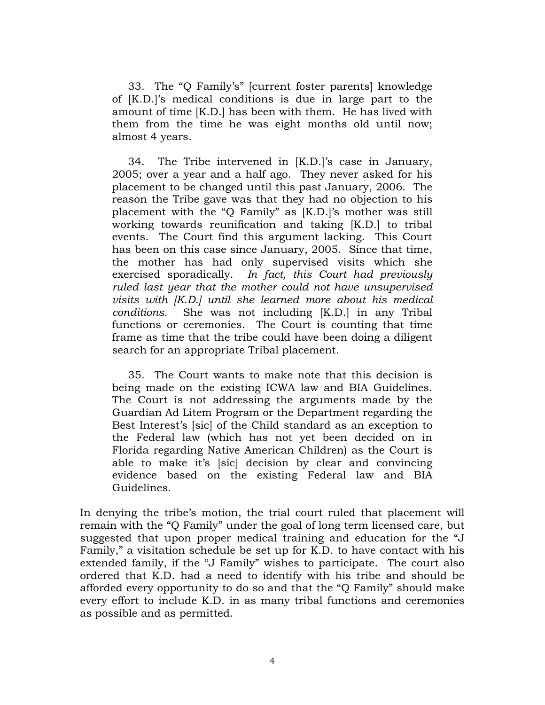33. The "Q Family's" [current foster parents] knowledge of [K.D.]'s medical conditions is due in large part to the amount of time [K.D.] has been with them. He has lived with them from the time he was eight months old until now; almost 4 years.

34. The Tribe intervened in [K.D.]'s case in January, 2005; over a year and a half ago. They never asked for his placement to be changed until this past January, 2006. The reason the Tribe gave was that they had no objection to his placement with the "Q Family" as [K.D.]'s mother was still working towards reunification and taking [K.D.] to tribal events. The Court find this argument lacking. This Court has been on this case since January, 2005. Since that time, the mother has had only supervised visits which she exercised sporadically. *In fact, this Court had previously ruled last year that the mother could not have unsupervised visits with [K.D.] until she learned more about his medical conditions.* She was not including [K.D.] in any Tribal functions or ceremonies. The Court is counting that time frame as time that the tribe could have been doing a diligent search for an appropriate Tribal placement.

35. The Court wants to make note that this decision is being made on the existing ICWA law and BIA Guidelines. The Court is not addressing the arguments made by the Guardian Ad Litem Program or the Department regarding the Best Interest's [sic] of the Child standard as an exception to the Federal law (which has not yet been decided on in Florida regarding Native American Children) as the Court is able to make it's [sic] decision by clear and convincing evidence based on the existing Federal law and BIA Guidelines.

In denying the tribe's motion, the trial court ruled that placement will remain with the "Q Family" under the goal of long term licensed care, but suggested that upon proper medical training and education for the "J Family," a visitation schedule be set up for K.D. to have contact with his extended family, if the "J Family" wishes to participate. The court also ordered that K.D. had a need to identify with his tribe and should be afforded every opportunity to do so and that the "Q Family" should make every effort to include K.D. in as many tribal functions and ceremonies as possible and as permitted.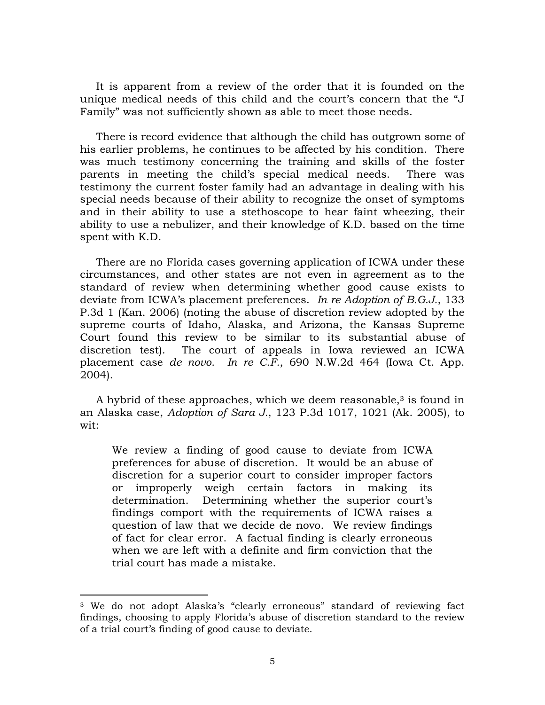It is apparent from a review of the order that it is founded on the unique medical needs of this child and the court's concern that the "J Family" was not sufficiently shown as able to meet those needs.

There is record evidence that although the child has outgrown some of his earlier problems, he continues to be affected by his condition. There was much testimony concerning the training and skills of the foster parents in meeting the child's special medical needs. There was testimony the current foster family had an advantage in dealing with his special needs because of their ability to recognize the onset of symptoms and in their ability to use a stethoscope to hear faint wheezing, their ability to use a nebulizer, and their knowledge of K.D. based on the time spent with K.D.

There are no Florida cases governing application of ICWA under these circumstances, and other states are not even in agreement as to the standard of review when determining whether good cause exists to deviate from ICWA's placement preferences. *In re Adoption of B.G.J.*, 133 P.3d 1 (Kan. 2006) (noting the abuse of discretion review adopted by the supreme courts of Idaho, Alaska, and Arizona, the Kansas Supreme Court found this review to be similar to its substantial abuse of discretion test). The court of appeals in Iowa reviewed an ICWA placement case *de novo*. *In re C.F.*, 690 N.W.2d 464 (Iowa Ct. App. 2004).

A hybrid of these approaches, which we deem reasonable, $3$  is found in an Alaska case, *Adoption of Sara J.*, 123 P.3d 1017, 1021 (Ak. 2005), to wit:

We review a finding of good cause to deviate from ICWA preferences for abuse of discretion. It would be an abuse of discretion for a superior court to consider improper factors or improperly weigh certain factors in making its determination. Determining whether the superior court's findings comport with the requirements of ICWA raises a question of law that we decide de novo. We review findings of fact for clear error. A factual finding is clearly erroneous when we are left with a definite and firm conviction that the trial court has made a mistake.

-

<sup>3</sup> We do not adopt Alaska's "clearly erroneous" standard of reviewing fact findings, choosing to apply Florida's abuse of discretion standard to the review of a trial court's finding of good cause to deviate.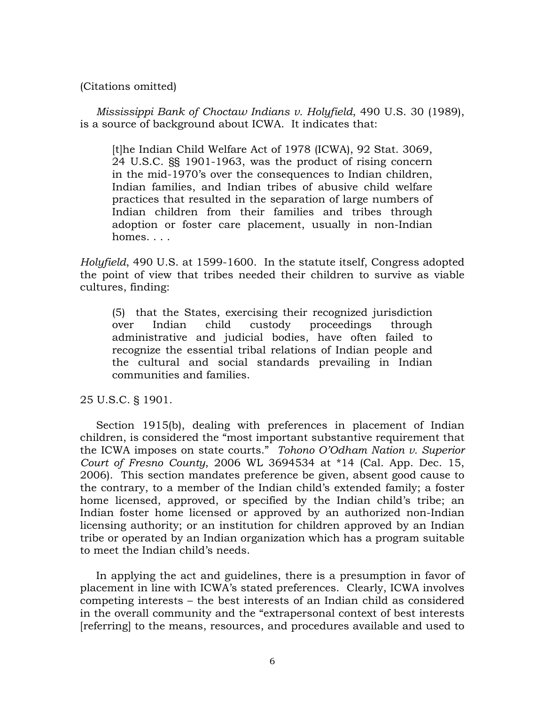(Citations omitted)

*Mississippi Bank of Choctaw Indians v. Holyfield*, 490 U.S. 30 (1989), is a source of background about ICWA. It indicates that:

[t]he Indian Child Welfare Act of 1978 (ICWA), 92 Stat. 3069, 24 U.S.C. §§ 1901-1963, was the product of rising concern in the mid-1970's over the consequences to Indian children, Indian families, and Indian tribes of abusive child welfare practices that resulted in the separation of large numbers of Indian children from their families and tribes through adoption or foster care placement, usually in non-Indian homes. . . . .

*Holyfield*, 490 U.S. at 1599-1600. In the statute itself, Congress adopted the point of view that tribes needed their children to survive as viable cultures, finding:

(5) that the States, exercising their recognized jurisdiction over Indian child custody proceedings through administrative and judicial bodies, have often failed to recognize the essential tribal relations of Indian people and the cultural and social standards prevailing in Indian communities and families.

25 U.S.C. § 1901.

Section 1915(b), dealing with preferences in placement of Indian children, is considered the "most important substantive requirement that the ICWA imposes on state courts." *Tohono O'Odham Nation v. Superior Court of Fresno County*, 2006 WL 3694534 at \*14 (Cal. App. Dec. 15, 2006). This section mandates preference be given, absent good cause to the contrary, to a member of the Indian child's extended family; a foster home licensed, approved, or specified by the Indian child's tribe; an Indian foster home licensed or approved by an authorized non-Indian licensing authority; or an institution for children approved by an Indian tribe or operated by an Indian organization which has a program suitable to meet the Indian child's needs.

In applying the act and guidelines, there is a presumption in favor of placement in line with ICWA's stated preferences. Clearly, ICWA involves competing interests – the best interests of an Indian child as considered in the overall community and the "extrapersonal context of best interests [referring] to the means, resources, and procedures available and used to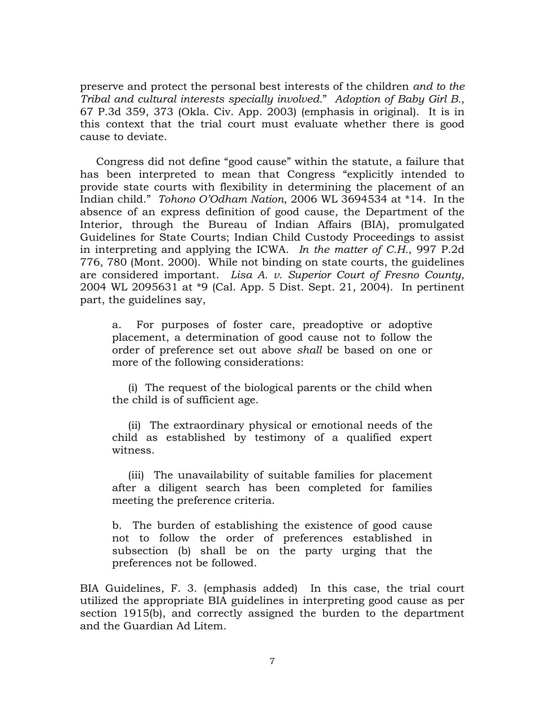preserve and protect the personal best interests of the children *and to the Tribal and cultural interests specially involved.*" *Adoption of Baby Girl B.*, 67 P.3d 359, 373 (Okla. Civ. App. 2003) (emphasis in original). It is in this context that the trial court must evaluate whether there is good cause to deviate.

Congress did not define "good cause" within the statute, a failure that has been interpreted to mean that Congress "explicitly intended to provide state courts with flexibility in determining the placement of an Indian child." *Tohono O'Odham Nation*, 2006 WL 3694534 at \*14. In the absence of an express definition of good cause, the Department of the Interior, through the Bureau of Indian Affairs (BIA), promulgated Guidelines for State Courts; Indian Child Custody Proceedings to assist in interpreting and applying the ICWA. *In the matter of C.H.*, 997 P.2d 776, 780 (Mont. 2000). While not binding on state courts, the guidelines are considered important. *Lisa A. v. Superior Court of Fresno County*, 2004 WL 2095631 at \*9 (Cal. App. 5 Dist. Sept. 21, 2004). In pertinent part, the guidelines say,

a. For purposes of foster care, preadoptive or adoptive placement, a determination of good cause not to follow the order of preference set out above *shall* be based on one or more of the following considerations:

(i) The request of the biological parents or the child when the child is of sufficient age.

(ii) The extraordinary physical or emotional needs of the child as established by testimony of a qualified expert witness.

(iii) The unavailability of suitable families for placement after a diligent search has been completed for families meeting the preference criteria.

b. The burden of establishing the existence of good cause not to follow the order of preferences established in subsection (b) shall be on the party urging that the preferences not be followed.

BIA Guidelines, F. 3. (emphasis added) In this case, the trial court utilized the appropriate BIA guidelines in interpreting good cause as per section 1915(b), and correctly assigned the burden to the department and the Guardian Ad Litem.